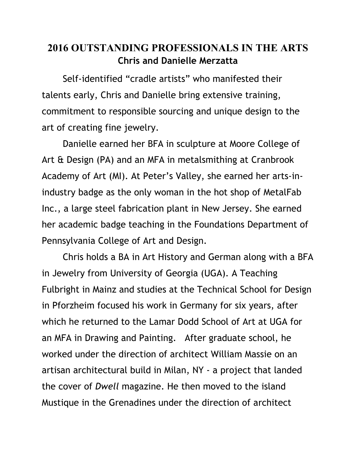## **2016 OUTSTANDING PROFESSIONALS IN THE ARTS Chris and Danielle Merzatta**

 Self-identified "cradle artists" who manifested their talents early, Chris and Danielle bring extensive training, commitment to responsible sourcing and unique design to the art of creating fine jewelry.

 Danielle earned her BFA in sculpture at Moore College of Art & Design (PA) and an MFA in metalsmithing at Cranbrook Academy of Art (MI). At Peter's Valley, she earned her arts-inindustry badge as the only woman in the hot shop of MetalFab Inc., a large steel fabrication plant in New Jersey. She earned her academic badge teaching in the Foundations Department of Pennsylvania College of Art and Design.

 Chris holds a BA in Art History and German along with a BFA in Jewelry from University of Georgia (UGA). A Teaching Fulbright in Mainz and studies at the Technical School for Design in Pforzheim focused his work in Germany for six years, after which he returned to the Lamar Dodd School of Art at UGA for an MFA in Drawing and Painting. After graduate school, he worked under the direction of architect William Massie on an artisan architectural build in Milan, NY - a project that landed the cover of *Dwell* magazine. He then moved to the island Mustique in the Grenadines under the direction of architect